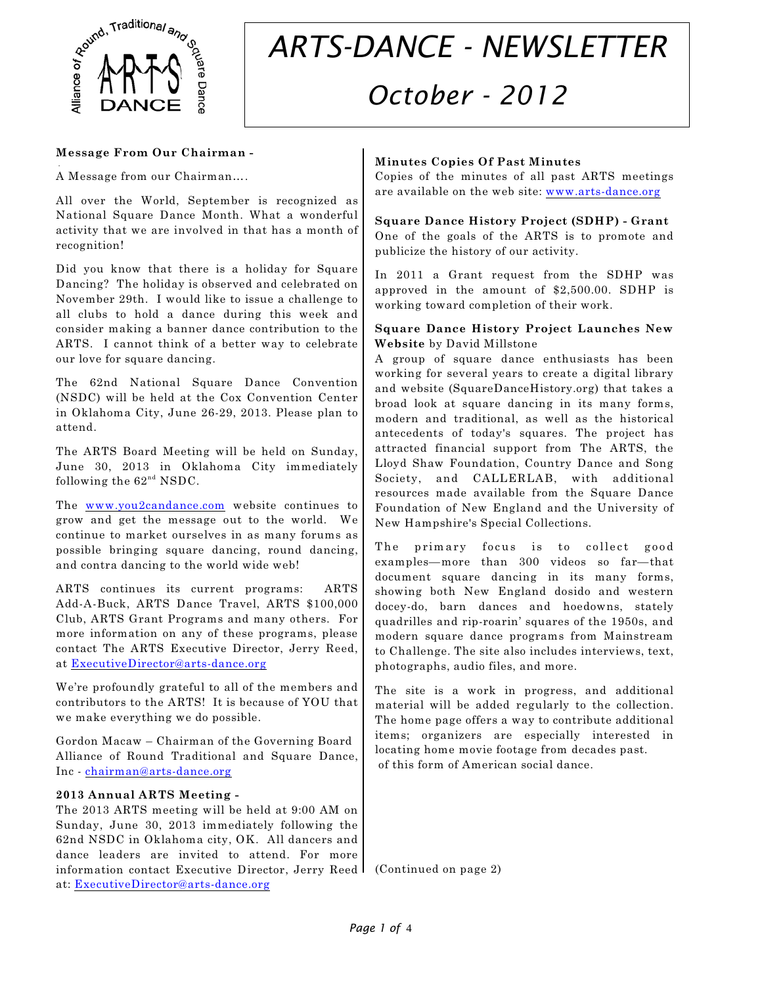

# *ARTS-DANCE - NEWSLETTER October - 2012*

#### **Message From Our Chairman -**

A Message from our Chairman….

.

All over the World, September is recognized as National Square Dance Month. What a wonderful activity that we are involved in that has a month of recognition!

Did you know that there is a holiday for Square Dancing? The holiday is observed and celebrated on November 29th. I would like to issue a challenge to all clubs to hold a dance during this week and consider making a banner dance contribution to the ARTS. I cannot think of a better way to celebrate our love for square dancing.

The 62nd National Square Dance Convention (NSDC) will be held at the Cox Convention Center in Oklahoma City, June 26-29, 2013. Please plan to attend.

The ARTS Board Meeting will be held on Sunday, June 30, 2013 in Oklahoma City immediately following the  $62<sup>nd</sup>$  NSDC.

The [www.you2candance.com](http://www.you2candance.com) website continues to grow and get the message out to the world. We continue to market ourselves in as many forums as possible bringing square dancing, round dancing, and contra dancing to the world wide web!

ARTS continues its current programs: ARTS Add-A-Buck, ARTS Dance Travel, ARTS \$100,000 Club, ARTS Grant Programs and many others. For more information on any of these programs, please contact The ARTS Executive Director, Jerry Reed, at [ExecutiveDirector@arts-dance.org](mailto:ExecutiveDirector@arts-dance.org)

We're profoundly grateful to all of the members and contributors to the ARTS! It is because of YOU that we make everything we do possible.

Gordon Macaw – Chairman of the Governing Board Alliance of Round Traditional and Square Dance, Inc - [chairman@arts-dance.org](mailto:chairman@arts-dance.org)

#### **2013 Annual ARTS Meeting -**

The 2013 ARTS meeting will be held at 9:00 AM on Sunday, June 30, 2013 immediately following the 62nd NSDC in Oklahoma city, OK. All dancers and dance leaders are invited to attend. For more information contact Executive Director, Jerry Reed (Continued on page 2)at: [ExecutiveDirector@arts-dance.org](mailto:ExecutiveDirector@arts-dance.org)

# **Minutes Copies Of Past Minutes**

Copies of the minutes of all past ARTS meetings are available on the web site: [www.arts-dance.org](http://www.arts-dance.org)

# **Square Dance History Project (SDHP) - Grant**

One of the goals of the ARTS is to promote and publicize the history of our activity.

In 2011 a Grant request from the SDHP was approved in the amount of \$2,500.00. SDHP is working toward completion of their work.

#### **Square Dance History Project Launches New Website** by David Millstone

A group of square dance enthusiasts has been working for several years to create a digital library and website (SquareDanceHistory.org) that takes a broad look at square dancing in its many forms, modern and traditional, as well as the historical antecedents of today's squares. The project has attracted financial support from The ARTS, the Lloyd Shaw Foundation, Country Dance and Song Society, and CALLERLAB, with additional resources made available from the Square Dance Foundation of New England and the University of New Hampshire's Special Collections.

The primary focus is to collect good examples—more than 300 videos so far—that document square dancing in its many forms, showing both New England dosido and western docey-do, barn dances and hoedowns, stately quadrilles and rip-roarin' squares of the 1950s, and modern square dance programs from Mainstream to Challenge. The site also includes interviews, text, photographs, audio files, and more.

The site is a work in progress, and additional material will be added regularly to the collection. The home page offers a way to contribute additional items; organizers are especially interested in locating home movie footage from decades past. of this form of American social dance.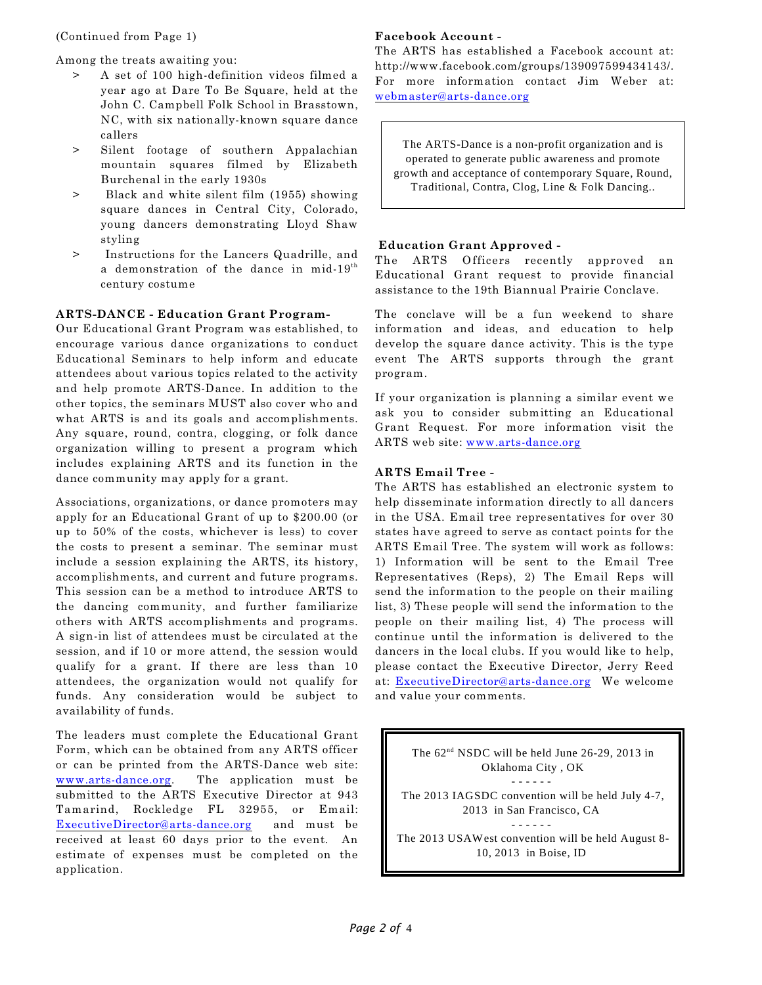Among the treats awaiting you:

- > A set of 100 high-definition videos filmed a year ago at Dare To Be Square, held at the John C. Campbell Folk School in Brasstown, NC, with six nationally-known square dance callers
- > Silent footage of southern Appalachian mountain squares filmed by Elizabeth Burchenal in the early 1930s
- > Black and white silent film (1955) showing square dances in Central City, Colorado, young dancers demonstrating Lloyd Shaw styling
- > Instructions for the Lancers Quadrille, and a demonstration of the dance in mid- $19^{th}$ century costume

#### **ARTS-DANCE - Education Grant Program-**

Our Educational Grant Program was established, to encourage various dance organizations to conduct Educational Seminars to help inform and educate attendees about various topics related to the activity and help promote ARTS-Dance. In addition to the other topics, the seminars MUST also cover who and what ARTS is and its goals and accomplishments. Any square, round, contra, clogging, or folk dance organization willing to present a program which includes explaining ARTS and its function in the dance community may apply for a grant.

Associations, organizations, or dance promoters may apply for an Educational Grant of up to \$200.00 (or up to 50% of the costs, whichever is less) to cover the costs to present a seminar. The seminar must include a session explaining the ARTS, its history, accomplishments, and current and future programs. This session can be a method to introduce ARTS to the dancing community, and further familiarize others with ARTS accomplishments and programs. A sign-in list of attendees must be circulated at the session, and if 10 or more attend, the session would qualify for a grant. If there are less than 10 attendees, the organization would not qualify for funds. Any consideration would be subject to availability of funds.

The leaders must complete the Educational Grant Form, which can be obtained from any ARTS officer or can be printed from the ARTS-Dance web site: [www.arts-dance.org](http://www.arts-dance.org). The application must be submitted to the ARTS Executive Director at 943 Tamarind, Rockledge FL 32955, or Email: [ExecutiveDirector@arts-dance.org](mailto:ExecutiveDirector@arts-dance.org) and must be received at least 60 days prior to the event. An estimate of expenses must be completed on the application.

#### **Facebook Account -**

The ARTS has established a Facebook account at: http://www.facebook.com/groups/139097599434143/. For more information contact Jim Weber at: [webmaster@arts-dance.org](mailto:webmaster@arts-dance.org)

The ARTS-Dance is a non-profit organization and is operated to generate public awareness and promote growth and acceptance of contemporary Square, Round, Traditional, Contra, Clog, Line & Folk Dancing..

#### **Education Grant Approved -**

The ARTS Officers recently approved an Educational Grant request to provide financial assistance to the 19th Biannual Prairie Conclave.

The conclave will be a fun weekend to share information and ideas, and education to help develop the square dance activity. This is the type event The ARTS supports through the grant program.

If your organization is planning a similar event we ask you to consider submitting an Educational Grant Request. For more information visit the ARTS web site: [www.arts-dance.org](http://www.arts-dance.org)

### **ARTS Email Tree -**

The ARTS has established an electronic system to help disseminate information directly to all dancers in the USA. Email tree representatives for over 30 states have agreed to serve as contact points for the ARTS Email Tree. The system will work as follows: 1) Information will be sent to the Email Tree Representatives (Reps), 2) The Email Reps will send the information to the people on their mailing list, 3) These people will send the information to the people on their mailing list, 4) The process will continue until the information is delivered to the dancers in the local clubs. If you would like to help, please contact the Executive Director, Jerry Reed at: [ExecutiveDirector@arts-dance.org](mailto:ExecutiveDirector@arts-dance.org) We welcome and value your comments.

The  $62<sup>nd</sup> NSDC$  will be held June 26-29, 2013 in Oklahoma City , OK - - - - - - The 2013 IAGSDC convention will be held July 4-7, 2013 in San Francisco, CA - - - - - - The 2013 USAWest convention will be held August 8- 10, 2013 in Boise, ID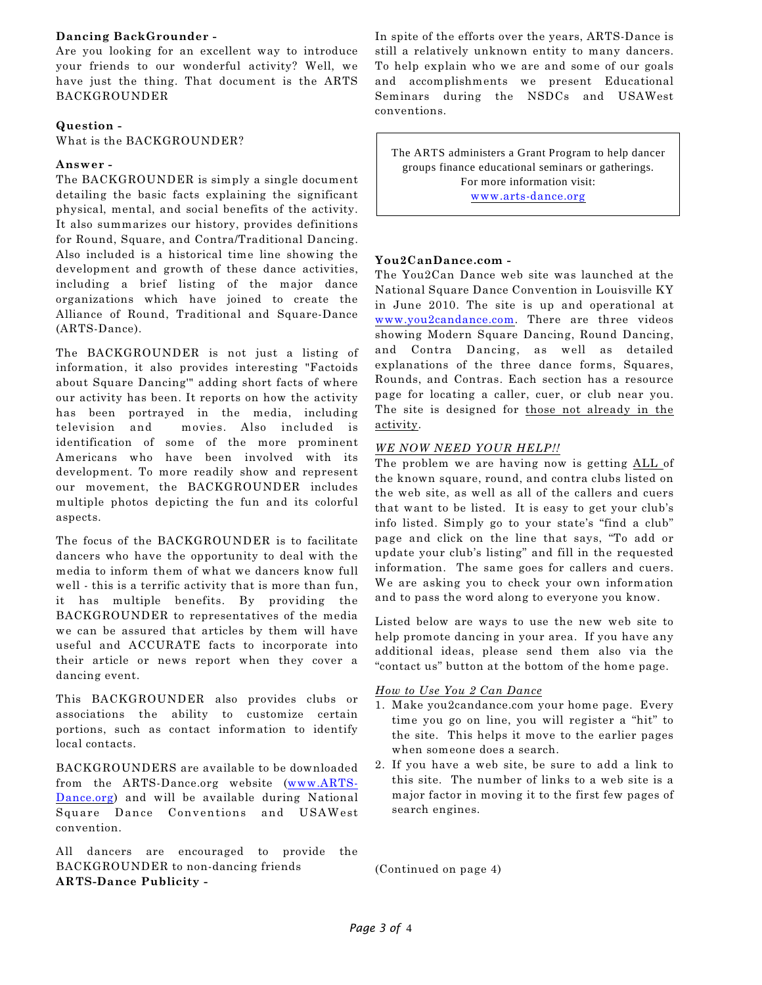#### **Dancing BackGrounder -**

Are you looking for an excellent way to introduce your friends to our wonderful activity? Well, we have just the thing. That document is the ARTS BACKGROUNDER

#### **Question -**

What is the BACKGROUNDER?

#### **Answer -**

The BACKGROUNDER is simply a single document detailing the basic facts explaining the significant physical, mental, and social benefits of the activity. It also summarizes our history, provides definitions for Round, Square, and Contra/Traditional Dancing. Also included is a historical time line showing the development and growth of these dance activities, including a brief listing of the major dance organizations which have joined to create the Alliance of Round, Traditional and Square-Dance (ARTS-Dance).

The BACKGROUNDER is not just a listing of information, it also provides interesting "Factoids about Square Dancing'" adding short facts of where our activity has been. It reports on how the activity has been portrayed in the media, including television and movies. Also included is identification of some of the more prominent Americans who have been involved with its development. To more readily show and represent our movement, the BACKGROUNDER includes multiple photos depicting the fun and its colorful aspects.

The focus of the BACKGROUNDER is to facilitate dancers who have the opportunity to deal with the media to inform them of what we dancers know full well - this is a terrific activity that is more than fun, it has multiple benefits. By providing the BACKGROUNDER to representatives of the media we can be assured that articles by them will have useful and ACCURATE facts to incorporate into their article or news report when they cover a dancing event.

This BACKGROUNDER also provides clubs or associations the ability to customize certain portions, such as contact information to identify local contacts.

BACKGROUNDERS are available to be downloaded from the ARTS-Dance.org website ([www.ARTS-](http://www.ARTS-Dance.org))[Dance.org](http://www.ARTS-Dance.org))) and will be available during National Square Dance Conventions and USAWest convention.

All dancers are encouraged to provide the BACKGROUNDER to non-dancing friends **ARTS-Dance Publicity -**

In spite of the efforts over the years, ARTS-Dance is still a relatively unknown entity to many dancers. To help explain who we are and some of our goals and accomplishments we present Educational Seminars during the NSDCs and USAWest conventions.

The ARTS administers a Grant Program to help dancer groups finance educational seminars or gatherings. For more information visit: [www.arts-dance.org](http://www.arts-dance.org)

#### **You2CanDance.com -**

The You2Can Dance web site was launched at the National Square Dance Convention in Louisville KY in June 2010. The site is up and operational at [www.you2candance.com](http://www.you2candance.com). There are three videos showing Modern Square Dancing, Round Dancing, and Contra Dancing, as well as detailed explanations of the three dance forms, Squares, Rounds, and Contras. Each section has a resource page for locating a caller, cuer, or club near you. The site is designed for those not already in the activity.

#### *WE NOW NEED YOUR HELP!!*

The problem we are having now is getting ALL of the known square, round, and contra clubs listed on the web site, as well as all of the callers and cuers that want to be listed. It is easy to get your club's info listed. Simply go to your state's "find a club" page and click on the line that says, "To add or update your club's listing" and fill in the requested information. The same goes for callers and cuers. We are asking you to check your own information and to pass the word along to everyone you know.

Listed below are ways to use the new web site to help promote dancing in your area. If you have any additional ideas, please send them also via the "contact us" button at the bottom of the home page.

#### *How to Use You 2 Can Dance*

- 1. Make you2candance.com your home page. Every time you go on line, you will register a "hit" to the site. This helps it move to the earlier pages when someone does a search.
- 2. If you have a web site, be sure to add a link to this site. The number of links to a web site is a major factor in moving it to the first few pages of search engines.

(Continued on page 4)